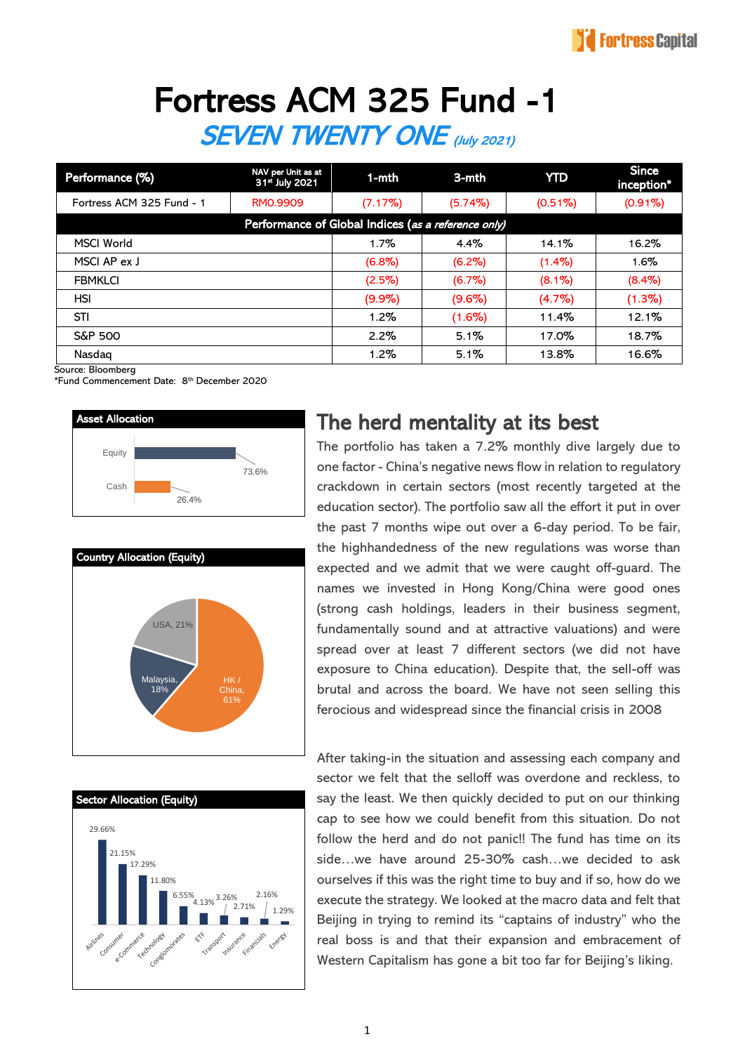# Fortress ACM 325 Fund -1 SEVEN TWENTY ONE (July 2021)

| Performance (%)                                     | NAV per Unit as at<br>31 <sup>*</sup> July 2021 | $1-$ mth  | 3-mth      | <b>YTD</b> | <b>Since</b><br>inception* |  |  |
|-----------------------------------------------------|-------------------------------------------------|-----------|------------|------------|----------------------------|--|--|
| Fortress ACM 325 Fund - 1                           | RM0.9909                                        | (7.17%)   | $(5.74\%)$ | $(0.51\%)$ | $(0.91\%)$                 |  |  |
| Performance of Global Indices (as a reference only) |                                                 |           |            |            |                            |  |  |
| <b>MSCI World</b>                                   |                                                 | $1.7\%$   | $4.4\%$    | $14.1\%$   | 16.2%                      |  |  |
| MSCI AP ex J                                        |                                                 | $(6.8\%)$ | $(6.2\%)$  | $(1.4\%)$  | $1.6\%$                    |  |  |
| <b>FBMKLCI</b>                                      |                                                 | $(2.5\%)$ | (6.7%)     | $(8.1\%)$  | $(8.4\%)$                  |  |  |
| HSI                                                 |                                                 | $(9.9\%)$ | $(9.6\%)$  | $(4.7\%)$  | (1.3%)                     |  |  |
| <b>STI</b>                                          |                                                 | $1.2\%$   | $(1.6\%)$  | 11.4%      | 12.1%                      |  |  |
| <b>S&amp;P 500</b>                                  |                                                 | $2.2\%$   | 5.1%       | 17.0%      | 18.7%                      |  |  |
| Nasdag                                              |                                                 | $1.2\%$   | 5.1%       | 13.8%      | 16.6%                      |  |  |

Source: Bloomberg

\*Fund Commencement Date: 8 th December 2020







#### The herd mentality at its best

The portfolio has taken a 7.2% monthly dive largely due to one factor - China's negative news flow in relation to regulatory crackdown in certain sectors (most recently targeted at the education sector). The portfolio saw all the effort it put in over the past 7 months wipe out over a 6-day period. To be fair, the highhandedness of the new regulations was worse than expected and we admit that we were caught off-guard. The names we invested in Hong Kong/China were good ones (strong cash holdings, leaders in their business segment, fundamentally sound and at attractive valuations) and were spread over at least 7 different sectors (we did not have exposure to China education). Despite that, the sell-off was brutal and across the board. We have not seen selling this ferocious and widespread since the financial crisis in 2008

After taking-in the situation and assessing each company and sector we felt that the selloff was overdone and reckless, to say the least. We then quickly decided to put on our thinking cap to see how we could benefit from this situation. Do not follow the herd and do not panic!! The fund has time on its side…we have around 25-30% cash…we decided to ask ourselves if this was the right time to buy and if so, how do we execute the strategy. We looked at the macro data and felt that Beijing in trying to remind its "captains of industry" who the real boss is and that their expansion and embracement of Western Capitalism has gone a bit too far for Beijing's liking.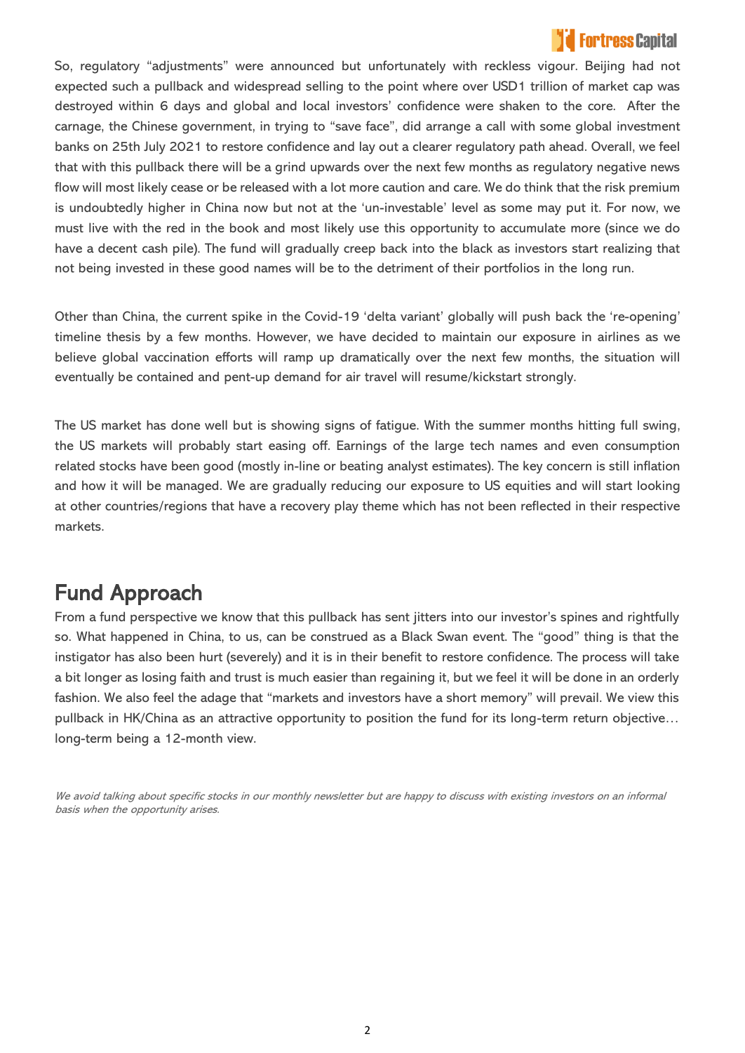### **Fortress Canital**

So, regulatory "adjustments" were announced but unfortunately with reckless vigour. Beijing had not expected such a pullback and widespread selling to the point where over USD1 trillion of market cap was destroyed within 6 days and global and local investors' confidence were shaken to the core. After the carnage, the Chinese government, in trying to "save face", did arrange a call with some global investment banks on 25th July 2021 to restore confidence and lay out a clearer regulatory path ahead. Overall, we feel that with this pullback there will be a grind upwards over the next few months as regulatory negative news flow will most likely cease or be released with a lot more caution and care. We do think that the risk premium is undoubtedly higher in China now but not at the 'un-investable' level as some may put it. For now, we must live with the red in the book and most likely use this opportunity to accumulate more (since we do have a decent cash pile). The fund will gradually creep back into the black as investors start realizing that not being invested in these good names will be to the detriment of their portfolios in the long run.

Other than China, the current spike in the Covid-19 'delta variant' globally will push back the 're-opening' timeline thesis by a few months. However, we have decided to maintain our exposure in airlines as we believe global vaccination efforts will ramp up dramatically over the next few months, the situation will eventually be contained and pent-up demand for air travel will resume/kickstart strongly.

The US market has done well but is showing signs of fatigue. With the summer months hitting full swing, the US markets will probably start easing off. Earnings of the large tech names and even consumption related stocks have been good (mostly in-line or beating analyst estimates). The key concern is still inflation and how it will be managed. We are gradually reducing our exposure to US equities and will start looking at other countries/regions that have a recovery play theme which has not been reflected in their respective markets.

## Fund Approach

From a fund perspective we know that this pullback has sent jitters into our investor's spines and rightfully so. What happened in China, to us, can be construed as a Black Swan event. The "good" thing is that the instigator has also been hurt (severely) and it is in their benefit to restore confidence. The process will take a bit longer as losing faith and trust is much easier than regaining it, but we feel it will be done in an orderly fashion. We also feel the adage that "markets and investors have a short memory" will prevail. We view this pullback in HK/China as an attractive opportunity to position the fund for its long-term return objective… long-term being a 12-month view.

We avoid talking about specific stocks in our monthly newsletter but are happy to discuss with existing investors on an informal basis when the opportunity arises.